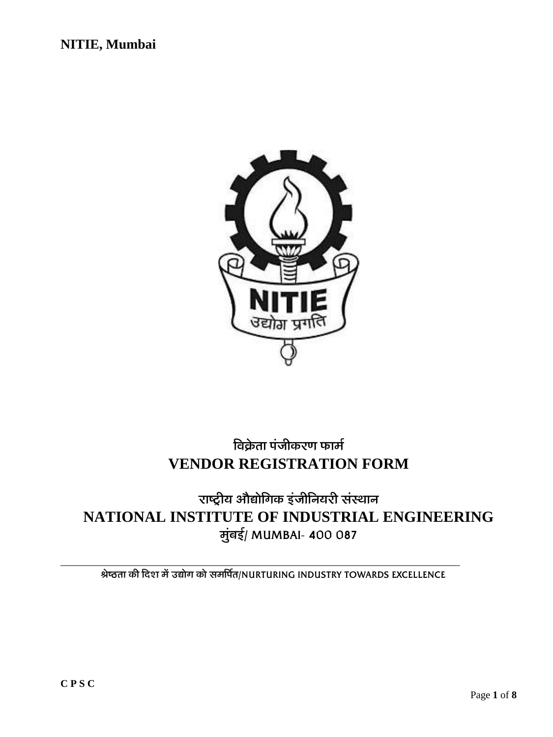

# **बिक्रेता पंजीकरण फार्म VENDOR REGISTRATION FORM**

# **£¸«'ïú¡¸ '¸¾Ô¸¸½¢Š¸ˆÅ ƒ¿]¸ú¢›¸¡¸£ú ¬¸¿¬˜¸¸›¸ NATIONAL INSTITUTE OF INDUSTRIAL ENGINEERING**  $\vec{v}$ बर्ड/ MUMBAI- 400 087

 **ª½«"÷¸¸ ˆÅú ¢™©¸ Ÿ¸½¿ "Ô¸¸½Š¸ ˆÅ¸½ ¬¸Ÿ¸¢œ¸Ä÷¸/NURTURING INDUSTRY TOWARDS EXCELLENCE**

\_\_\_\_\_\_\_\_\_\_\_\_\_\_\_\_\_\_\_\_\_\_\_\_\_\_\_\_\_\_\_\_\_\_\_\_\_\_\_\_\_\_\_\_\_\_\_\_\_\_\_\_\_\_\_\_\_\_\_\_\_\_\_\_\_\_\_\_\_\_\_\_\_\_\_\_\_\_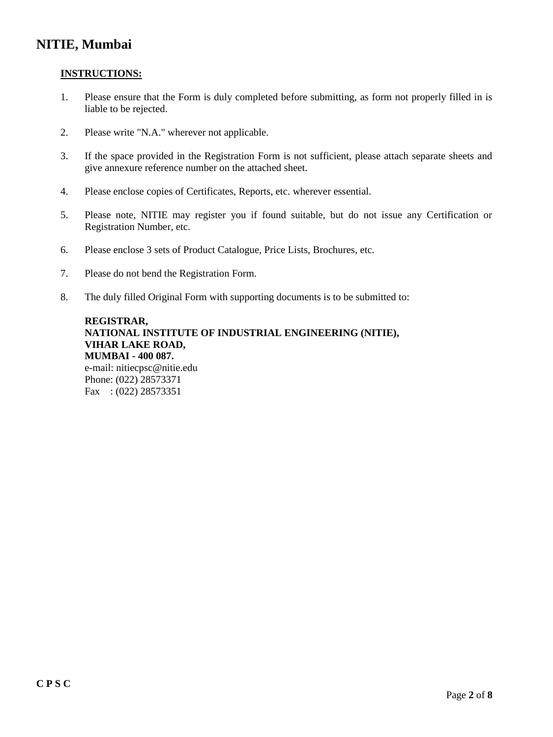#### **INSTRUCTIONS:**

- 1. Please ensure that the Form is duly completed before submitting, as form not properly filled in is liable to be rejected.
- 2. Please write "N.A." wherever not applicable.
- 3. If the space provided in the Registration Form is not sufficient, please attach separate sheets and give annexure reference number on the attached sheet.
- 4. Please enclose copies of Certificates, Reports, etc. wherever essential.
- 5. Please note, NITIE may register you if found suitable, but do not issue any Certification or Registration Number, etc.
- 6. Please enclose 3 sets of Product Catalogue, Price Lists, Brochures, etc.
- 7. Please do not bend the Registration Form.
- 8. The duly filled Original Form with supporting documents is to be submitted to:

**REGISTRAR, NATIONAL INSTITUTE OF INDUSTRIAL ENGINEERING (NITIE), VIHAR LAKE ROAD, MUMBAI - 400 087.** e-mail: nitiecpsc@nitie.edu Phone: (022) 28573371 Fax : (022) 28573351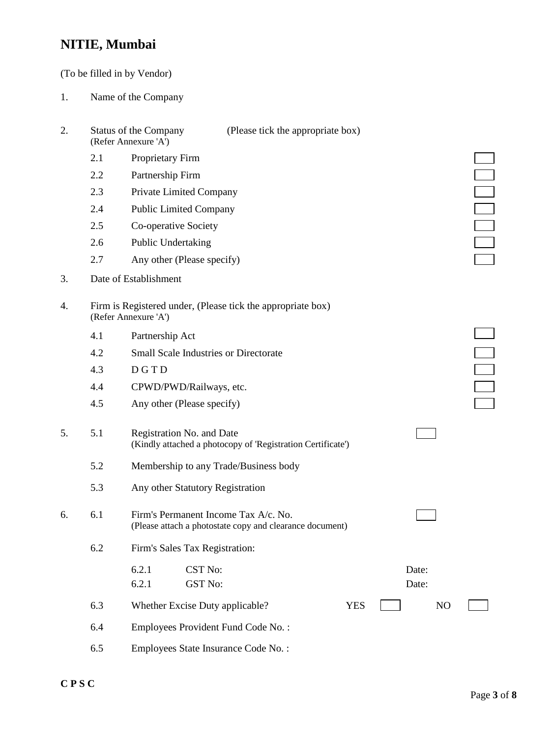(To be filled in by Vendor)

- 1. Name of the Company
- 2. Status of the Company (Please tick the appropriate box) (Refer Annexure 'A') 2.1 Proprietary Firm 2.2 Partnership Firm 2.3 Private Limited Company 2.4 Public Limited Company 2.5 Co-operative Society 2.6 Public Undertaking 2.7 Any other (Please specify) 3. Date of Establishment 4. Firm is Registered under, (Please tick the appropriate box) (Refer Annexure 'A') 4.1 Partnership Act 4.2 Small Scale Industries or Directorate 4.3 D G T D 4.4 CPWD/PWD/Railways, etc. 4.5 Any other (Please specify) 5. 5.1 Registration No. and Date (Kindly attached a photocopy of 'Registration Certificate') 5.2 Membership to any Trade/Business body 5.3 Any other Statutory Registration 6. 6.1 Firm's Permanent Income Tax A/c. No. (Please attach a photostate copy and clearance document) 6.2 Firm's Sales Tax Registration: 6.2.1 CST No: Date: 6.2.1 GST No: Date: 6.3 Whether Excise Duty applicable? YES NO 6.4 Employees Provident Fund Code No. : 6.5 Employees State Insurance Code No. :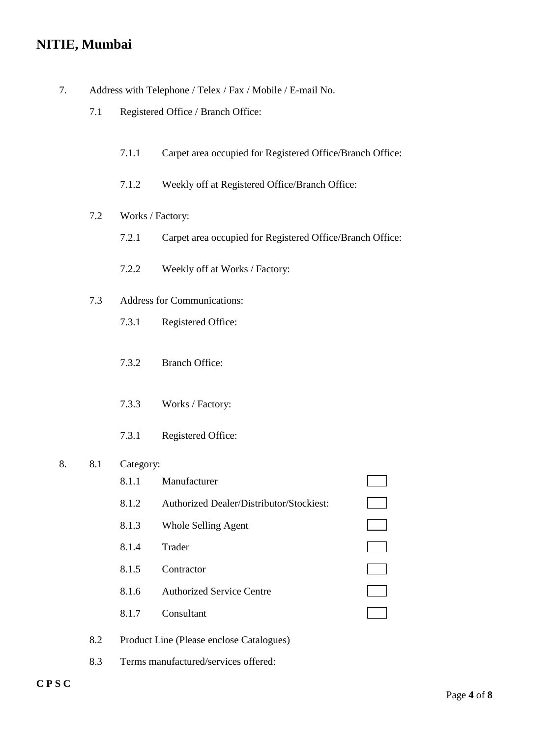- 7. Address with Telephone / Telex / Fax / Mobile / E-mail No.
	- 7.1 Registered Office / Branch Office:
		- 7.1.1 Carpet area occupied for Registered Office/Branch Office:
		- 7.1.2 Weekly off at Registered Office/Branch Office:
	- 7.2 Works / Factory:
		- 7.2.1 Carpet area occupied for Registered Office/Branch Office:
		- 7.2.2 Weekly off at Works / Factory:
	- 7.3 Address for Communications:
		- 7.3.1 Registered Office:
		- 7.3.2 Branch Office:
		- 7.3.3 Works / Factory:
		- 7.3.1 Registered Office:

#### 8. 8.1 Category:

- 8.1.1 Manufacturer 8.1.2 Authorized Dealer/Distributor/Stockiest: 8.1.3 Whole Selling Agent 8.1.4 Trader 8.1.5 Contractor 8.1.6 Authorized Service Centre 8.1.7 Consultant 8.2 Product Line (Please enclose Catalogues)
- 8.3 Terms manufactured/services offered:

 $\Box$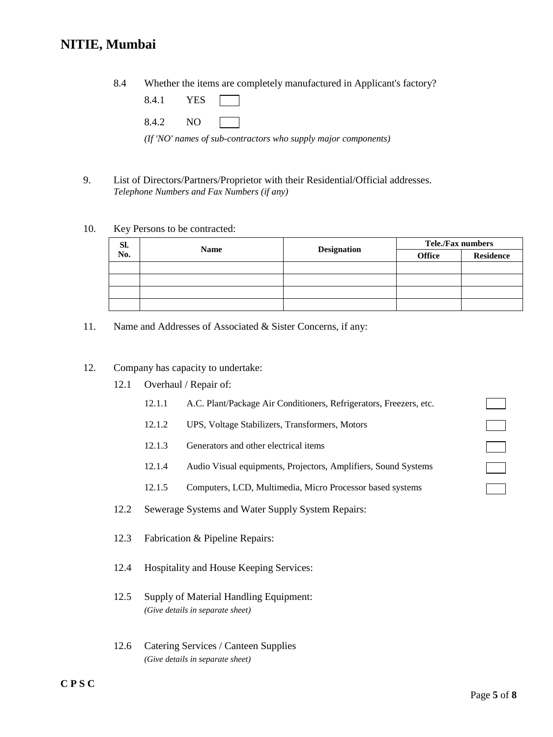8.4 Whether the items are completely manufactured in Applicant's factory?

| 8.4.1 | 37 D.C |  |
|-------|--------|--|
|       |        |  |

8.4.2 NO

*(If 'NO' names of sub-contractors who supply major components)*

9. List of Directors/Partners/Proprietor with their Residential/Official addresses. *Telephone Numbers and Fax Numbers (if any)*

#### 10. Key Persons to be contracted:

| SI. |             | <b>Designation</b> | <b>Tele./Fax numbers</b> |                  |  |
|-----|-------------|--------------------|--------------------------|------------------|--|
| No. | <b>Name</b> |                    | <b>Office</b>            | <b>Residence</b> |  |
|     |             |                    |                          |                  |  |
|     |             |                    |                          |                  |  |
|     |             |                    |                          |                  |  |
|     |             |                    |                          |                  |  |

11. Name and Addresses of Associated & Sister Concerns, if any:

#### 12. Company has capacity to undertake:

- 12.1 Overhaul / Repair of:
	- 12.1.1 A.C. Plant/Package Air Conditioners, Refrigerators, Freezers, etc.
	- 12.1.2 UPS, Voltage Stabilizers, Transformers, Motors
	- 12.1.3 Generators and other electrical items
	- 12.1.4 Audio Visual equipments, Projectors, Amplifiers, Sound Systems
	- 12.1.5 Computers, LCD, Multimedia, Micro Processor based systems
- 12.2 Sewerage Systems and Water Supply System Repairs:
- 12.3 Fabrication & Pipeline Repairs:
- 12.4 Hospitality and House Keeping Services:
- 12.5 Supply of Material Handling Equipment: *(Give details in separate sheet)*
- 12.6 Catering Services / Canteen Supplies *(Give details in separate sheet)*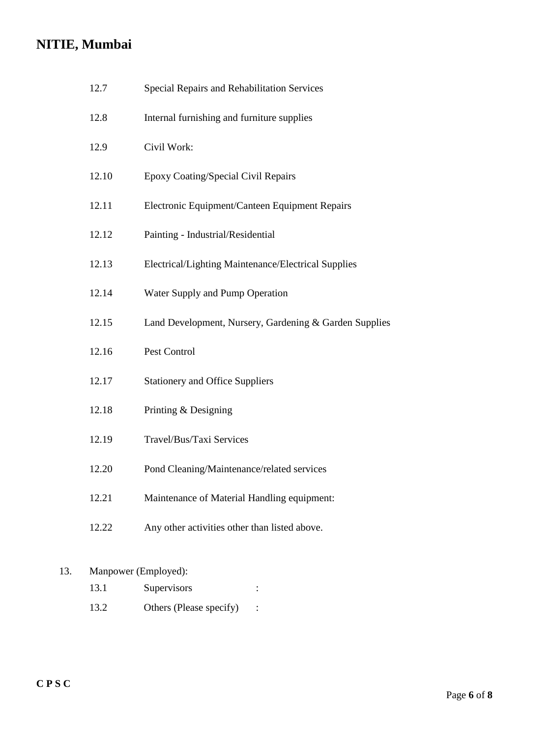| 12.7  | Special Repairs and Rehabilitation Services            |
|-------|--------------------------------------------------------|
| 12.8  | Internal furnishing and furniture supplies             |
| 12.9  | Civil Work:                                            |
| 12.10 | Epoxy Coating/Special Civil Repairs                    |
| 12.11 | Electronic Equipment/Canteen Equipment Repairs         |
| 12.12 | Painting - Industrial/Residential                      |
| 12.13 | Electrical/Lighting Maintenance/Electrical Supplies    |
| 12.14 | Water Supply and Pump Operation                        |
| 12.15 | Land Development, Nursery, Gardening & Garden Supplies |
| 12.16 | Pest Control                                           |
| 12.17 | <b>Stationery and Office Suppliers</b>                 |
| 12.18 | Printing & Designing                                   |
| 12.19 | Travel/Bus/Taxi Services                               |
| 12.20 | Pond Cleaning/Maintenance/related services             |
| 12.21 | Maintenance of Material Handling equipment:            |
| 12.22 | Any other activities other than listed above.          |
|       |                                                        |

### 13. Manpower (Employed):

- 13.1 Supervisors :
- 13.2 Others (Please specify) :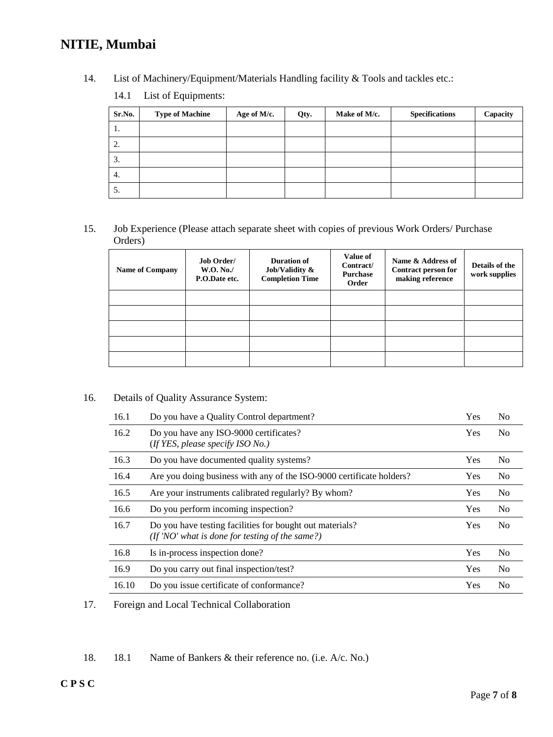14. List of Machinery/Equipment/Materials Handling facility & Tools and tackles etc.:

| 14.1<br>List of Equipments: |
|-----------------------------|
|-----------------------------|

| Sr.No.        | <b>Type of Machine</b> | Age of M/c. | Qty. | Make of M/c. | <b>Specifications</b> | Capacity |
|---------------|------------------------|-------------|------|--------------|-----------------------|----------|
| -1.           |                        |             |      |              |                       |          |
| 2.            |                        |             |      |              |                       |          |
| 3.            |                        |             |      |              |                       |          |
| 4.            |                        |             |      |              |                       |          |
| $\mathcal{D}$ |                        |             |      |              |                       |          |

15. Job Experience (Please attach separate sheet with copies of previous Work Orders/ Purchase Orders)

| <b>Name of Company</b> | <b>Job Order/</b><br><b>W.O. No./</b><br>P.O.Date etc. | Duration of<br>Job/Validity $\&$<br><b>Completion Time</b> | Value of<br>Contract/<br><b>Purchase</b><br>Order | Name & Address of<br>Contract person for<br>making reference | Details of the<br>work supplies |
|------------------------|--------------------------------------------------------|------------------------------------------------------------|---------------------------------------------------|--------------------------------------------------------------|---------------------------------|
|                        |                                                        |                                                            |                                                   |                                                              |                                 |
|                        |                                                        |                                                            |                                                   |                                                              |                                 |
|                        |                                                        |                                                            |                                                   |                                                              |                                 |
|                        |                                                        |                                                            |                                                   |                                                              |                                 |
|                        |                                                        |                                                            |                                                   |                                                              |                                 |

#### 16. Details of Quality Assurance System:

| 16.1  | Do you have a Quality Control department?                                                                      | Yes        | N <sub>0</sub> |
|-------|----------------------------------------------------------------------------------------------------------------|------------|----------------|
| 16.2  | Do you have any ISO-9000 certificates?<br>(If YES, please specify $ISO\,No.$ )                                 | <b>Yes</b> | N <sub>0</sub> |
| 16.3  | Do you have documented quality systems?                                                                        | Yes        | N <sub>0</sub> |
| 16.4  | Are you doing business with any of the ISO-9000 certificate holders?                                           | <b>Yes</b> | N <sub>0</sub> |
| 16.5  | Are your instruments calibrated regularly? By whom?                                                            | Yes        | N <sub>o</sub> |
| 16.6  | Do you perform incoming inspection?                                                                            | Yes        | N <sub>o</sub> |
| 16.7  | Do you have testing facilities for bought out materials?<br>$($ If 'NO' what is done for testing of the same?) | <b>Yes</b> | N <sub>0</sub> |
| 16.8  | Is in-process inspection done?                                                                                 | Yes        | N <sub>0</sub> |
| 16.9  | Do you carry out final inspection/test?                                                                        | Yes        | N <sub>0</sub> |
| 16.10 | Do you issue certificate of conformance?                                                                       | Yes        | N <sub>0</sub> |

17. Foreign and Local Technical Collaboration

18. 18.1 Name of Bankers & their reference no. (i.e. A/c. No.)